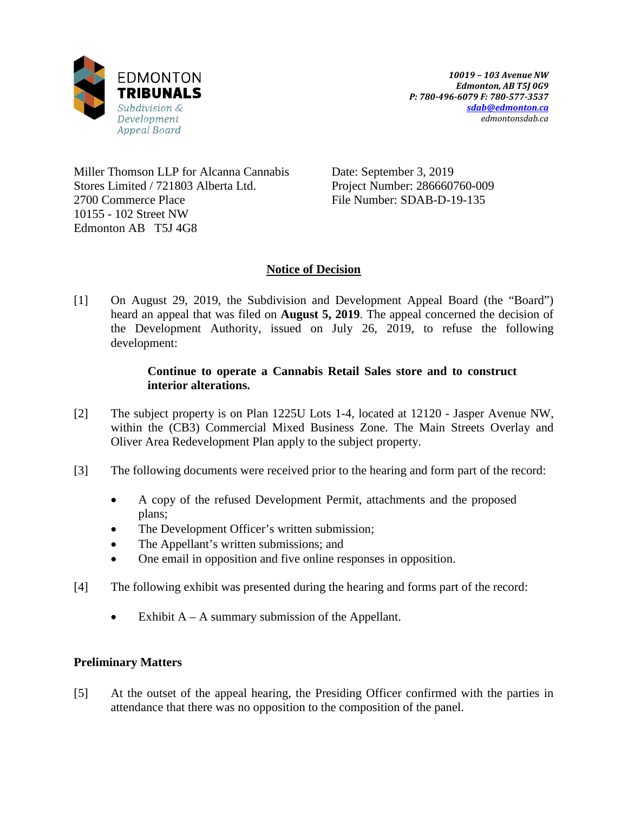

Miller Thomson LLP for Alcanna Cannabis Stores Limited / 721803 Alberta Ltd. 2700 Commerce Place 10155 - 102 Street NW Edmonton AB T5J 4G8

Date: September 3, 2019 Project Number: 286660760-009 File Number: SDAB-D-19-135

# **Notice of Decision**

[1] On August 29, 2019, the Subdivision and Development Appeal Board (the "Board") heard an appeal that was filed on **August 5, 2019**. The appeal concerned the decision of the Development Authority, issued on July 26, 2019, to refuse the following development:

## **Continue to operate a Cannabis Retail Sales store and to construct interior alterations.**

- [2] The subject property is on Plan 1225U Lots 1-4, located at 12120 Jasper Avenue NW, within the (CB3) Commercial Mixed Business Zone. The Main Streets Overlay and Oliver Area Redevelopment Plan apply to the subject property.
- [3] The following documents were received prior to the hearing and form part of the record:
	- A copy of the refused Development Permit, attachments and the proposed plans;
	- The Development Officer's written submission;
	- The Appellant's written submissions; and
	- One email in opposition and five online responses in opposition.
- [4] The following exhibit was presented during the hearing and forms part of the record:
	- Exhibit  $A A$  summary submission of the Appellant.

## **Preliminary Matters**

[5] At the outset of the appeal hearing, the Presiding Officer confirmed with the parties in attendance that there was no opposition to the composition of the panel.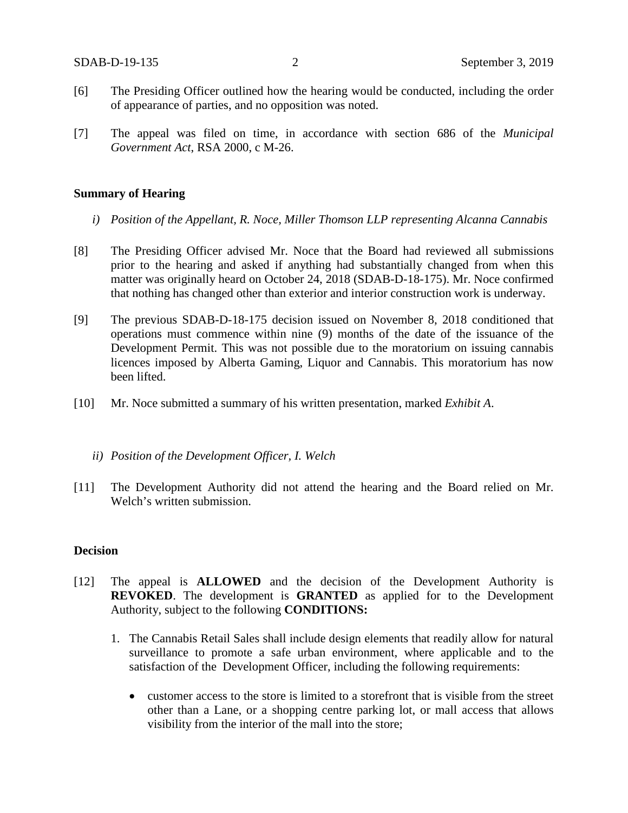- [6] The Presiding Officer outlined how the hearing would be conducted, including the order of appearance of parties, and no opposition was noted.
- [7] The appeal was filed on time, in accordance with section 686 of the *Municipal Government Act*, RSA 2000, c M-26.

#### **Summary of Hearing**

- *i) Position of the Appellant, R. Noce, Miller Thomson LLP representing Alcanna Cannabis*
- [8] The Presiding Officer advised Mr. Noce that the Board had reviewed all submissions prior to the hearing and asked if anything had substantially changed from when this matter was originally heard on October 24, 2018 (SDAB-D-18-175). Mr. Noce confirmed that nothing has changed other than exterior and interior construction work is underway.
- [9] The previous SDAB-D-18-175 decision issued on November 8, 2018 conditioned that operations must commence within nine (9) months of the date of the issuance of the Development Permit. This was not possible due to the moratorium on issuing cannabis licences imposed by Alberta Gaming, Liquor and Cannabis. This moratorium has now been lifted.
- [10] Mr. Noce submitted a summary of his written presentation, marked *Exhibit A*.

### *ii) Position of the Development Officer, I. Welch*

[11] The Development Authority did not attend the hearing and the Board relied on Mr. Welch's written submission.

### **Decision**

- [12] The appeal is **ALLOWED** and the decision of the Development Authority is **REVOKED**. The development is **GRANTED** as applied for to the Development Authority, subject to the following **CONDITIONS:**
	- 1. The Cannabis Retail Sales shall include design elements that readily allow for natural surveillance to promote a safe urban environment, where applicable and to the satisfaction of the Development Officer, including the following requirements:
		- customer access to the store is limited to a storefront that is visible from the street other than a Lane, or a shopping centre parking lot, or mall access that allows visibility from the interior of the mall into the store;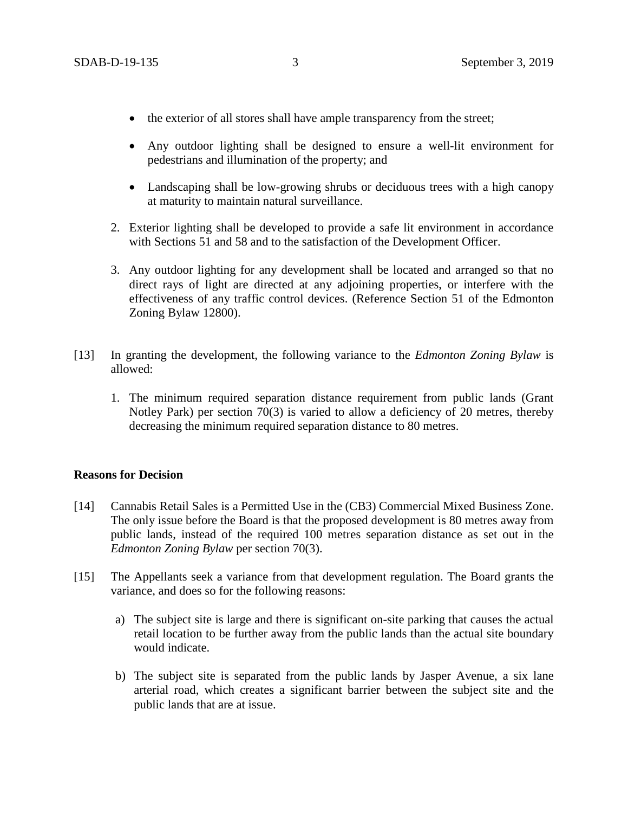- the exterior of all stores shall have ample transparency from the street;
- Any outdoor lighting shall be designed to ensure a well-lit environment for pedestrians and illumination of the property; and
- Landscaping shall be low-growing shrubs or deciduous trees with a high canopy at maturity to maintain natural surveillance.
- 2. Exterior lighting shall be developed to provide a safe lit environment in accordance with Sections 51 and 58 and to the satisfaction of the Development Officer.
- 3. Any outdoor lighting for any development shall be located and arranged so that no direct rays of light are directed at any adjoining properties, or interfere with the effectiveness of any traffic control devices. (Reference Section 51 of the Edmonton Zoning Bylaw 12800).
- [13] In granting the development, the following variance to the *Edmonton Zoning Bylaw* is allowed:
	- 1. The minimum required separation distance requirement from public lands (Grant Notley Park) per section 70(3) is varied to allow a deficiency of 20 metres, thereby decreasing the minimum required separation distance to 80 metres.

### **Reasons for Decision**

- [14] Cannabis Retail Sales is a Permitted Use in the (CB3) Commercial Mixed Business Zone. The only issue before the Board is that the proposed development is 80 metres away from public lands, instead of the required 100 metres separation distance as set out in the *Edmonton Zoning Bylaw* per section 70(3).
- [15] The Appellants seek a variance from that development regulation. The Board grants the variance, and does so for the following reasons:
	- a) The subject site is large and there is significant on-site parking that causes the actual retail location to be further away from the public lands than the actual site boundary would indicate.
	- b) The subject site is separated from the public lands by Jasper Avenue, a six lane arterial road, which creates a significant barrier between the subject site and the public lands that are at issue.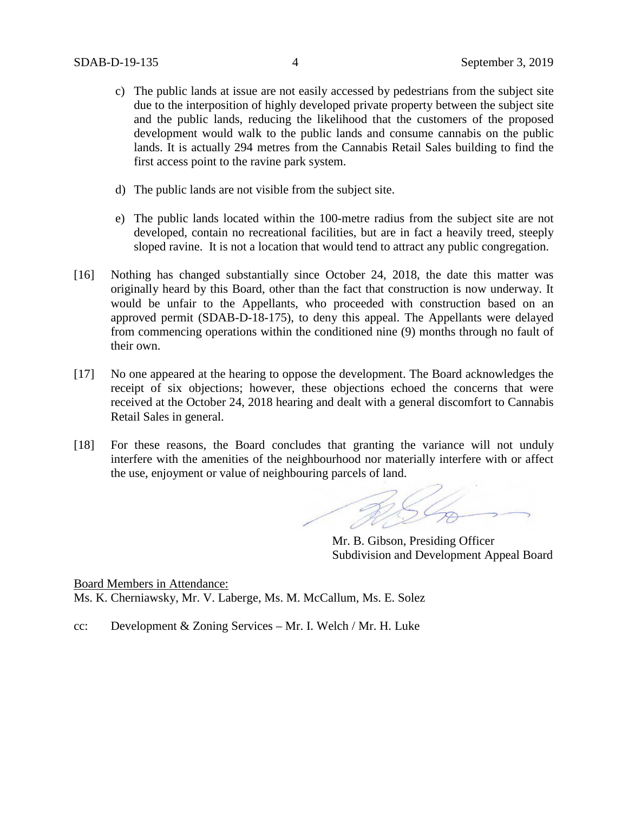- c) The public lands at issue are not easily accessed by pedestrians from the subject site due to the interposition of highly developed private property between the subject site and the public lands, reducing the likelihood that the customers of the proposed development would walk to the public lands and consume cannabis on the public lands. It is actually 294 metres from the Cannabis Retail Sales building to find the first access point to the ravine park system.
- d) The public lands are not visible from the subject site.
- e) The public lands located within the 100-metre radius from the subject site are not developed, contain no recreational facilities, but are in fact a heavily treed, steeply sloped ravine. It is not a location that would tend to attract any public congregation.
- [16] Nothing has changed substantially since October 24, 2018, the date this matter was originally heard by this Board, other than the fact that construction is now underway. It would be unfair to the Appellants, who proceeded with construction based on an approved permit (SDAB-D-18-175), to deny this appeal. The Appellants were delayed from commencing operations within the conditioned nine (9) months through no fault of their own.
- [17] No one appeared at the hearing to oppose the development. The Board acknowledges the receipt of six objections; however, these objections echoed the concerns that were received at the October 24, 2018 hearing and dealt with a general discomfort to Cannabis Retail Sales in general.
- [18] For these reasons, the Board concludes that granting the variance will not unduly interfere with the amenities of the neighbourhood nor materially interfere with or affect the use, enjoyment or value of neighbouring parcels of land.

Mr. B. Gibson, Presiding Officer Subdivision and Development Appeal Board

Board Members in Attendance: Ms. K. Cherniawsky, Mr. V. Laberge, Ms. M. McCallum, Ms. E. Solez

cc: Development & Zoning Services – Mr. I. Welch / Mr. H. Luke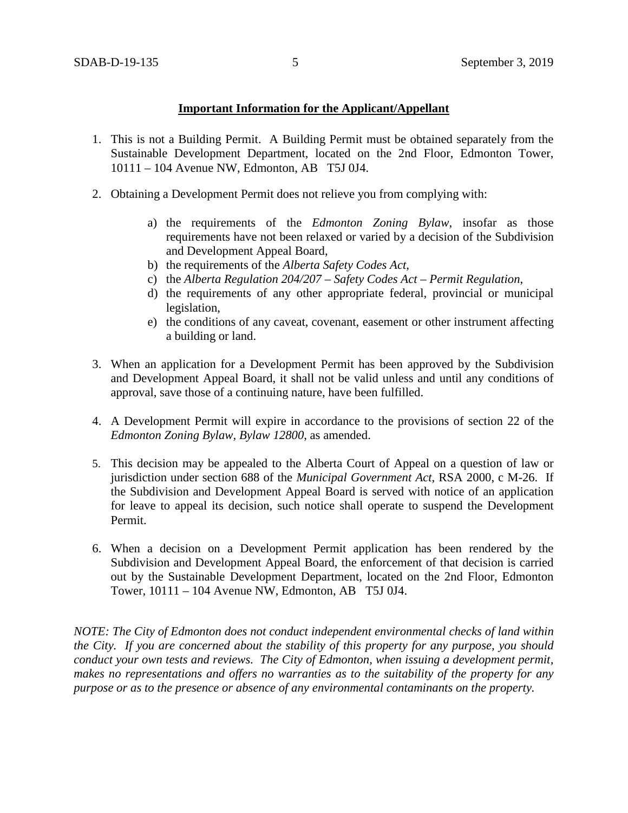### **Important Information for the Applicant/Appellant**

- 1. This is not a Building Permit. A Building Permit must be obtained separately from the Sustainable Development Department, located on the 2nd Floor, Edmonton Tower, 10111 – 104 Avenue NW, Edmonton, AB T5J 0J4.
- 2. Obtaining a Development Permit does not relieve you from complying with:
	- a) the requirements of the *Edmonton Zoning Bylaw*, insofar as those requirements have not been relaxed or varied by a decision of the Subdivision and Development Appeal Board,
	- b) the requirements of the *Alberta Safety Codes Act*,
	- c) the *Alberta Regulation 204/207 – Safety Codes Act – Permit Regulation*,
	- d) the requirements of any other appropriate federal, provincial or municipal legislation,
	- e) the conditions of any caveat, covenant, easement or other instrument affecting a building or land.
- 3. When an application for a Development Permit has been approved by the Subdivision and Development Appeal Board, it shall not be valid unless and until any conditions of approval, save those of a continuing nature, have been fulfilled.
- 4. A Development Permit will expire in accordance to the provisions of section 22 of the *Edmonton Zoning Bylaw, Bylaw 12800*, as amended.
- 5. This decision may be appealed to the Alberta Court of Appeal on a question of law or jurisdiction under section 688 of the *Municipal Government Act*, RSA 2000, c M-26. If the Subdivision and Development Appeal Board is served with notice of an application for leave to appeal its decision, such notice shall operate to suspend the Development Permit.
- 6. When a decision on a Development Permit application has been rendered by the Subdivision and Development Appeal Board, the enforcement of that decision is carried out by the Sustainable Development Department, located on the 2nd Floor, Edmonton Tower, 10111 – 104 Avenue NW, Edmonton, AB T5J 0J4.

*NOTE: The City of Edmonton does not conduct independent environmental checks of land within the City. If you are concerned about the stability of this property for any purpose, you should conduct your own tests and reviews. The City of Edmonton, when issuing a development permit, makes no representations and offers no warranties as to the suitability of the property for any purpose or as to the presence or absence of any environmental contaminants on the property.*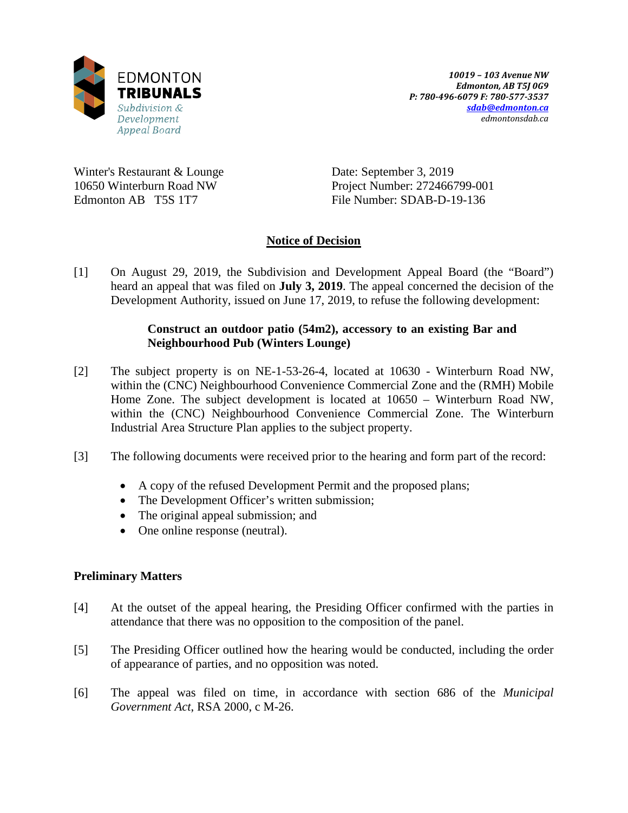

Winter's Restaurant & Lounge 10650 Winterburn Road NW Edmonton AB T5S 1T7

Date: September 3, 2019 Project Number: 272466799-001 File Number: SDAB-D-19-136

# **Notice of Decision**

[1] On August 29, 2019, the Subdivision and Development Appeal Board (the "Board") heard an appeal that was filed on **July 3, 2019**. The appeal concerned the decision of the Development Authority, issued on June 17, 2019, to refuse the following development:

# **Construct an outdoor patio (54m2), accessory to an existing Bar and Neighbourhood Pub (Winters Lounge)**

- [2] The subject property is on NE-1-53-26-4, located at 10630 Winterburn Road NW, within the (CNC) Neighbourhood Convenience Commercial Zone and the (RMH) Mobile Home Zone. The subject development is located at 10650 – Winterburn Road NW, within the (CNC) Neighbourhood Convenience Commercial Zone. The Winterburn Industrial Area Structure Plan applies to the subject property.
- [3] The following documents were received prior to the hearing and form part of the record:
	- A copy of the refused Development Permit and the proposed plans;
	- The Development Officer's written submission;
	- The original appeal submission; and
	- One online response (neutral).

# **Preliminary Matters**

- [4] At the outset of the appeal hearing, the Presiding Officer confirmed with the parties in attendance that there was no opposition to the composition of the panel.
- [5] The Presiding Officer outlined how the hearing would be conducted, including the order of appearance of parties, and no opposition was noted.
- [6] The appeal was filed on time, in accordance with section 686 of the *Municipal Government Act*, RSA 2000, c M-26.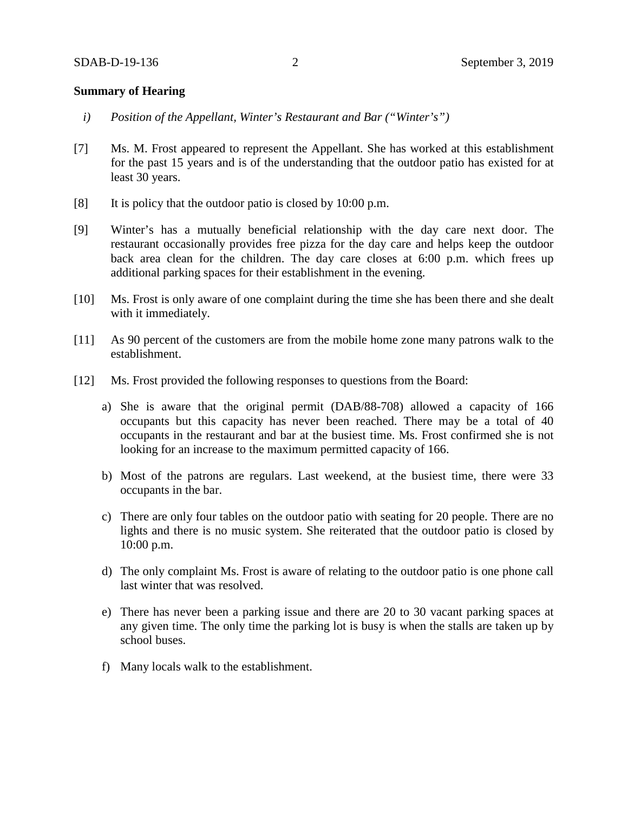## **Summary of Hearing**

- *i) Position of the Appellant, Winter's Restaurant and Bar ("Winter's")*
- [7] Ms. M. Frost appeared to represent the Appellant. She has worked at this establishment for the past 15 years and is of the understanding that the outdoor patio has existed for at least 30 years.
- [8] It is policy that the outdoor patio is closed by 10:00 p.m.
- [9] Winter's has a mutually beneficial relationship with the day care next door. The restaurant occasionally provides free pizza for the day care and helps keep the outdoor back area clean for the children. The day care closes at 6:00 p.m. which frees up additional parking spaces for their establishment in the evening.
- [10] Ms. Frost is only aware of one complaint during the time she has been there and she dealt with it immediately.
- [11] As 90 percent of the customers are from the mobile home zone many patrons walk to the establishment.
- [12] Ms. Frost provided the following responses to questions from the Board:
	- a) She is aware that the original permit (DAB/88-708) allowed a capacity of 166 occupants but this capacity has never been reached. There may be a total of 40 occupants in the restaurant and bar at the busiest time. Ms. Frost confirmed she is not looking for an increase to the maximum permitted capacity of 166.
	- b) Most of the patrons are regulars. Last weekend, at the busiest time, there were 33 occupants in the bar.
	- c) There are only four tables on the outdoor patio with seating for 20 people. There are no lights and there is no music system. She reiterated that the outdoor patio is closed by 10:00 p.m.
	- d) The only complaint Ms. Frost is aware of relating to the outdoor patio is one phone call last winter that was resolved.
	- e) There has never been a parking issue and there are 20 to 30 vacant parking spaces at any given time. The only time the parking lot is busy is when the stalls are taken up by school buses.
	- f) Many locals walk to the establishment.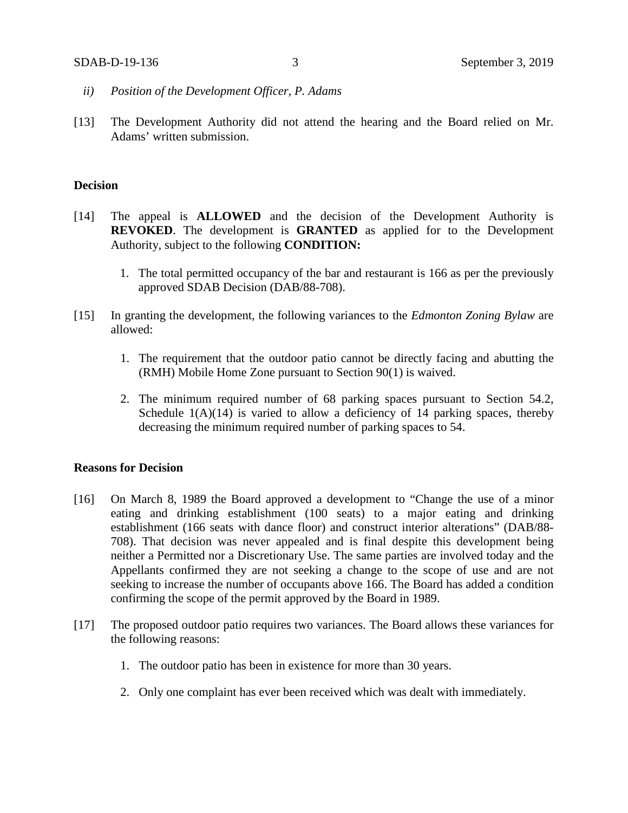- *ii) Position of the Development Officer, P. Adams*
- [13] The Development Authority did not attend the hearing and the Board relied on Mr. Adams' written submission.

### **Decision**

- [14] The appeal is **ALLOWED** and the decision of the Development Authority is **REVOKED**. The development is **GRANTED** as applied for to the Development Authority, subject to the following **CONDITION:**
	- 1. The total permitted occupancy of the bar and restaurant is 166 as per the previously approved SDAB Decision (DAB/88-708).
- [15] In granting the development, the following variances to the *Edmonton Zoning Bylaw* are allowed:
	- 1. The requirement that the outdoor patio cannot be directly facing and abutting the (RMH) Mobile Home Zone pursuant to Section 90(1) is waived.
	- 2. The minimum required number of 68 parking spaces pursuant to Section 54.2, Schedule  $1(A)(14)$  is varied to allow a deficiency of 14 parking spaces, thereby decreasing the minimum required number of parking spaces to 54.

### **Reasons for Decision**

- [16] On March 8, 1989 the Board approved a development to "Change the use of a minor eating and drinking establishment (100 seats) to a major eating and drinking establishment (166 seats with dance floor) and construct interior alterations" (DAB/88- 708). That decision was never appealed and is final despite this development being neither a Permitted nor a Discretionary Use. The same parties are involved today and the Appellants confirmed they are not seeking a change to the scope of use and are not seeking to increase the number of occupants above 166. The Board has added a condition confirming the scope of the permit approved by the Board in 1989.
- [17] The proposed outdoor patio requires two variances. The Board allows these variances for the following reasons:
	- 1. The outdoor patio has been in existence for more than 30 years.
	- 2. Only one complaint has ever been received which was dealt with immediately.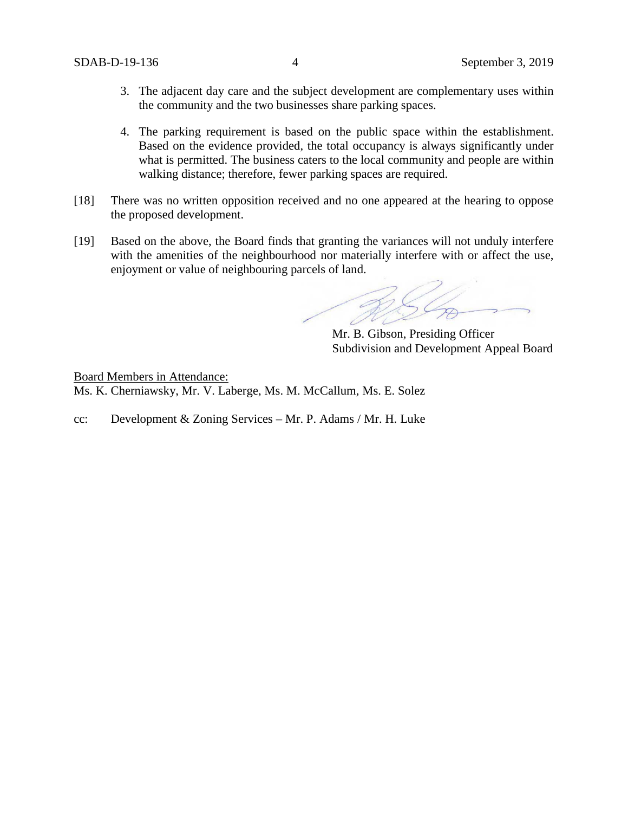- 3. The adjacent day care and the subject development are complementary uses within the community and the two businesses share parking spaces.
- 4. The parking requirement is based on the public space within the establishment. Based on the evidence provided, the total occupancy is always significantly under what is permitted. The business caters to the local community and people are within walking distance; therefore, fewer parking spaces are required.
- [18] There was no written opposition received and no one appeared at the hearing to oppose the proposed development.
- [19] Based on the above, the Board finds that granting the variances will not unduly interfere with the amenities of the neighbourhood nor materially interfere with or affect the use, enjoyment or value of neighbouring parcels of land.

Mr. B. Gibson, Presiding Officer Subdivision and Development Appeal Board

Board Members in Attendance: Ms. K. Cherniawsky, Mr. V. Laberge, Ms. M. McCallum, Ms. E. Solez

cc: Development & Zoning Services – Mr. P. Adams / Mr. H. Luke